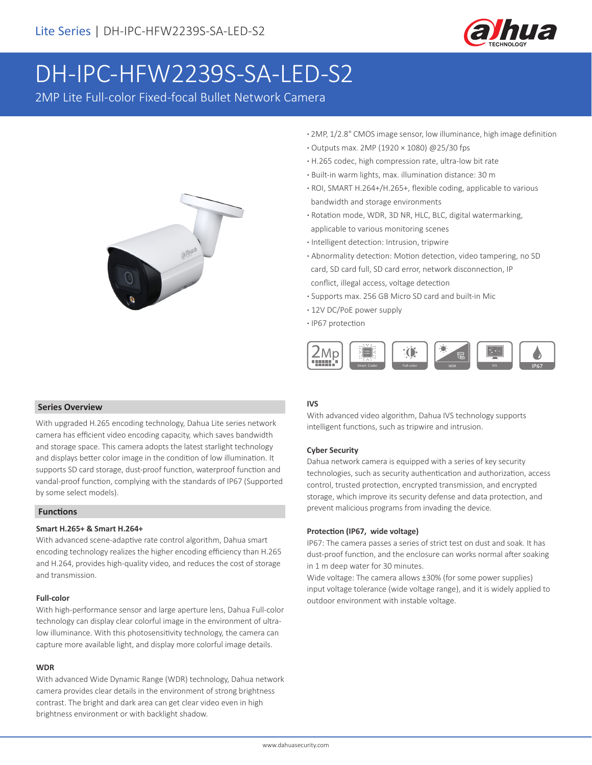

# DH-IPC-HFW2239S-SA-LED-S2

2MP Lite Full-color Fixed-focal Bullet Network Camera



- **·** 2MP, 1/2.8" CMOS image sensor, low illuminance, high image definition
- **·** Outputs max. 2MP (1920 × 1080) @25/30 fps
- **·** H.265 codec, high compression rate, ultra-low bit rate
- **·** Built-in warm lights, max. illumination distance: 30 m
- **·** ROI, SMART H.264+/H.265+, flexible coding, applicable to various bandwidth and storage environments
- **·** Rotation mode, WDR, 3D NR, HLC, BLC, digital watermarking, applicable to various monitoring scenes
- **·** Intelligent detection: Intrusion, tripwire
- **·** Abnormality detection: Motion detection, video tampering, no SD card, SD card full, SD card error, network disconnection, IP conflict, illegal access, voltage detection
- **·** Supports max. 256 GB Micro SD card and built-in Mic
- **·** 12V DC/PoE power supply
- **·** IP67 protection



### **IVS**

With advanced video algorithm, Dahua IVS technology supports intelligent functions, such as tripwire and intrusion.

### **Cyber Security**

Dahua network camera is equipped with a series of key security technologies, such as security authentication and authorization, access control, trusted protection, encrypted transmission, and encrypted storage, which improve its security defense and data protection, and prevent malicious programs from invading the device.

### **Protection (IP67, wide voltage)**

IP67: The camera passes a series of strict test on dust and soak. It has dust-proof function, and the enclosure can works normal after soaking in 1 m deep water for 30 minutes.

Wide voltage: The camera allows ±30% (for some power supplies) input voltage tolerance (wide voltage range), and it is widely applied to outdoor environment with instable voltage.

### **Series Overview**

With upgraded H.265 encoding technology, Dahua Lite series network camera has efficient video encoding capacity, which saves bandwidth and storage space. This camera adopts the latest starlight technology and displays better color image in the condition of low illumination. It supports SD card storage, dust-proof function, waterproof function and vandal-proof function, complying with the standards of IP67 (Supported by some select models).

### **Functions**

### **Smart H.265+ & Smart H.264+**

With advanced scene-adaptive rate control algorithm, Dahua smart encoding technology realizes the higher encoding efficiency than H.265 and H.264, provides high-quality video, and reduces the cost of storage and transmission.

### **Full-color**

With high-performance sensor and large aperture lens, Dahua Full-color technology can display clear colorful image in the environment of ultralow illuminance. With this photosensitivity technology, the camera can capture more available light, and display more colorful image details.

### **WDR**

With advanced Wide Dynamic Range (WDR) technology, Dahua network camera provides clear details in the environment of strong brightness contrast. The bright and dark area can get clear video even in high brightness environment or with backlight shadow.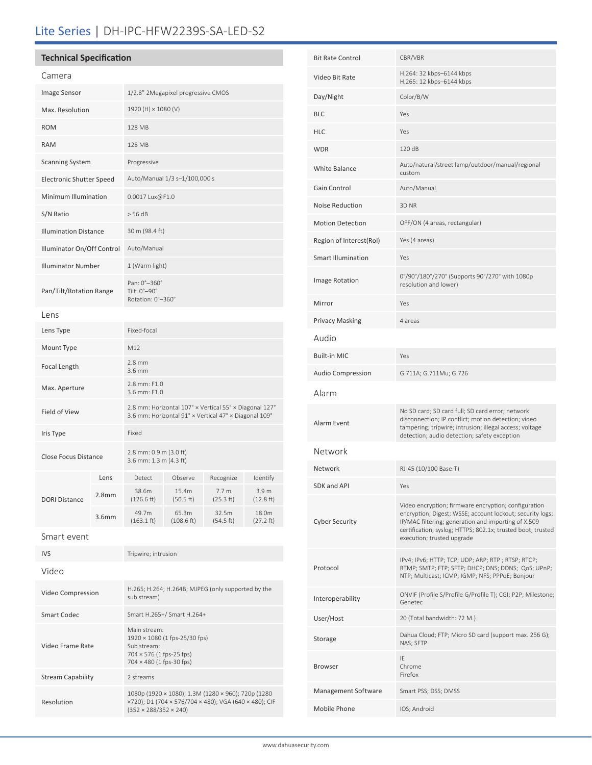# Lite Series | DH-IPC-HFW2239S-SA-LED-S2

# **Technical Specification**

Resolution

| Camera                          |                   |                                                                                                                      |                     |                               |                    |  |
|---------------------------------|-------------------|----------------------------------------------------------------------------------------------------------------------|---------------------|-------------------------------|--------------------|--|
| <b>Image Sensor</b>             |                   | 1/2.8" 2Megapixel progressive CMOS                                                                                   |                     |                               |                    |  |
| Max. Resolution                 |                   | 1920 (H) × 1080 (V)                                                                                                  |                     |                               |                    |  |
| <b>ROM</b>                      |                   | 128 MB                                                                                                               |                     |                               |                    |  |
| <b>RAM</b>                      |                   | 128 MB                                                                                                               |                     |                               |                    |  |
| <b>Scanning System</b>          |                   | Progressive                                                                                                          |                     |                               |                    |  |
| <b>Electronic Shutter Speed</b> |                   | Auto/Manual 1/3 s-1/100,000 s                                                                                        |                     |                               |                    |  |
| <b>Minimum Illumination</b>     |                   | 0.0017 Lux@F1.0                                                                                                      |                     |                               |                    |  |
| S/N Ratio                       |                   | > 56 dB                                                                                                              |                     |                               |                    |  |
| <b>Illumination Distance</b>    |                   | 30 m (98.4 ft)                                                                                                       |                     |                               |                    |  |
| Illuminator On/Off Control      |                   | Auto/Manual                                                                                                          |                     |                               |                    |  |
| <b>Illuminator Number</b>       |                   | 1 (Warm light)                                                                                                       |                     |                               |                    |  |
| Pan/Tilt/Rotation Range         |                   | Pan: 0°-360°<br>Tilt: 0°-90°<br>Rotation: 0°-360°                                                                    |                     |                               |                    |  |
| Lens                            |                   |                                                                                                                      |                     |                               |                    |  |
| Lens Type                       |                   | Fixed-focal                                                                                                          |                     |                               |                    |  |
| Mount Type                      |                   | M12                                                                                                                  |                     |                               |                    |  |
| Focal Length                    |                   | $2.8 \text{ mm}$<br>$3.6$ mm                                                                                         |                     |                               |                    |  |
| Max. Aperture                   |                   | 2.8 mm: F1.0<br>3.6 mm: F1.0                                                                                         |                     |                               |                    |  |
| Field of View                   |                   | 2.8 mm: Horizontal 107° × Vertical 55° × Diagonal 127°<br>3.6 mm: Horizontal 91° x Vertical 47° x Diagonal 109°      |                     |                               |                    |  |
| Iris Type                       |                   |                                                                                                                      | Fixed               |                               |                    |  |
| <b>Close Focus Distance</b>     |                   | 2.8 mm: 0.9 m (3.0 ft)<br>3.6 mm: 1.3 m (4.3 ft)                                                                     |                     |                               |                    |  |
|                                 | Lens              | Detect                                                                                                               | Observe             | Recognize                     | Identify           |  |
| <b>DORI Distance</b>            | 2.8 <sub>mm</sub> | 38.6m<br>(126.6 ft)                                                                                                  | 15.4m<br>(50.5 ft)  | 7.7 <sub>m</sub><br>(25.3 ft) | 3.9 m<br>(12.8 ft) |  |
|                                 | 3.6 <sub>mm</sub> | 49.7m<br>$(163.1 \text{ ft})$                                                                                        | 65.3m<br>(108.6 ft) | 32.5m<br>(54.5 ft)            | 18.0m<br>(27.2 ft) |  |
| Smart event                     |                   |                                                                                                                      |                     |                               |                    |  |
| <b>IVS</b>                      |                   | Tripwire; intrusion                                                                                                  |                     |                               |                    |  |
| Video                           |                   |                                                                                                                      |                     |                               |                    |  |
| Video Compression               |                   | H.265; H.264; H.264B; MJPEG (only supported by the<br>sub stream)                                                    |                     |                               |                    |  |
| <b>Smart Codec</b>              |                   | Smart H.265+/ Smart H.264+                                                                                           |                     |                               |                    |  |
| Video Frame Rate                |                   | Main stream:<br>1920 × 1080 (1 fps-25/30 fps)<br>Sub stream:<br>704 × 576 (1 fps-25 fps)<br>704 × 480 (1 fps-30 fps) |                     |                               |                    |  |
| <b>Stream Capability</b>        |                   | 2 streams                                                                                                            |                     |                               |                    |  |
|                                 |                   | 1080p (1920 × 1080); 1.3M (1280 × 960); 720p (1280                                                                   |                     |                               |                    |  |

| <b>Bit Rate Control</b>   | CBR/VBR                                                                                                                                                                                                                                                               |  |  |
|---------------------------|-----------------------------------------------------------------------------------------------------------------------------------------------------------------------------------------------------------------------------------------------------------------------|--|--|
| Video Bit Rate            | H.264: 32 kbps-6144 kbps<br>H.265: 12 kbps-6144 kbps                                                                                                                                                                                                                  |  |  |
| Day/Night                 | Color/B/W                                                                                                                                                                                                                                                             |  |  |
| BLC                       | Yes                                                                                                                                                                                                                                                                   |  |  |
| HLC                       | Yes                                                                                                                                                                                                                                                                   |  |  |
| WDR                       | 120 dB                                                                                                                                                                                                                                                                |  |  |
| <b>White Balance</b>      | Auto/natural/street lamp/outdoor/manual/regional<br>custom                                                                                                                                                                                                            |  |  |
| Gain Control              | Auto/Manual                                                                                                                                                                                                                                                           |  |  |
| <b>Noise Reduction</b>    | 3D NR                                                                                                                                                                                                                                                                 |  |  |
| <b>Motion Detection</b>   | OFF/ON (4 areas, rectangular)                                                                                                                                                                                                                                         |  |  |
| Region of Interest(RoI)   | Yes (4 areas)                                                                                                                                                                                                                                                         |  |  |
| <b>Smart Illumination</b> | Yes                                                                                                                                                                                                                                                                   |  |  |
| <b>Image Rotation</b>     | 0°/90°/180°/270° (Supports 90°/270° with 1080p<br>resolution and lower)                                                                                                                                                                                               |  |  |
| Mirror                    | Yes                                                                                                                                                                                                                                                                   |  |  |
| <b>Privacy Masking</b>    | 4 areas                                                                                                                                                                                                                                                               |  |  |
| Audio                     |                                                                                                                                                                                                                                                                       |  |  |
| <b>Built-in MIC</b>       | Yes                                                                                                                                                                                                                                                                   |  |  |
| <b>Audio Compression</b>  | G.711A; G.711Mu; G.726                                                                                                                                                                                                                                                |  |  |
| Alarm                     |                                                                                                                                                                                                                                                                       |  |  |
| Alarm Event               | No SD card; SD card full; SD card error; network<br>disconnection; IP conflict; motion detection; video<br>tampering; tripwire; intrusion; illegal access; voltage<br>detection; audio detection; safety exception                                                    |  |  |
| Network                   |                                                                                                                                                                                                                                                                       |  |  |
| Network                   | RJ-45 (10/100 Base-T)                                                                                                                                                                                                                                                 |  |  |
| SDK and API               | Yes                                                                                                                                                                                                                                                                   |  |  |
| <b>Cyber Security</b>     | Video encryption; firmware encryption; configuration<br>encryption; Digest; WSSE; account lockout; security logs;<br>IP/MAC filtering; generation and importing of X.509<br>certification; syslog; HTTPS; 802.1x; trusted boot; trusted<br>execution; trusted upgrade |  |  |
| Protocol                  | IPv4; IPv6; HTTP; TCP; UDP; ARP; RTP; RTSP; RTCP;<br>RTMP; SMTP; FTP; SFTP; DHCP; DNS; DDNS; QoS; UPnP;<br>NTP; Multicast; ICMP; IGMP; NFS; PPPoE; Bonjour                                                                                                            |  |  |
| Interoperability          | ONVIF (Profile S/Profile G/Profile T); CGI; P2P; Milestone;<br>Genetec                                                                                                                                                                                                |  |  |
| User/Host                 | 20 (Total bandwidth: 72 M.)                                                                                                                                                                                                                                           |  |  |
| Storage                   | Dahua Cloud; FTP; Micro SD card (support max. 256 G);<br>NAS; SFTP                                                                                                                                                                                                    |  |  |
| Browser                   | IE<br>Chrome<br>Firefox                                                                                                                                                                                                                                               |  |  |
| Management Software       | Smart PSS; DSS; DMSS                                                                                                                                                                                                                                                  |  |  |
| Mobile Phone              | IOS; Android                                                                                                                                                                                                                                                          |  |  |

×720); D1 (704 × 576/704 × 480); VGA (640 × 480); CIF

(352 × 288/352 × 240)